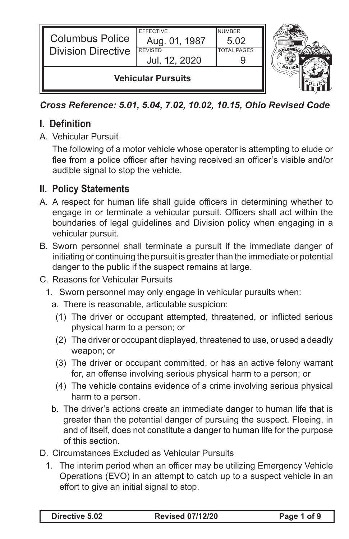

*Cross Reference: 5.01, 5.04, 7.02, 10.02, 10.15, Ohio Revised Code*

# **I. Definition**

A. Vehicular Pursuit

The following of a motor vehicle whose operator is attempting to elude or flee from a police officer after having received an officer's visible and/or audible signal to stop the vehicle.

## **II. Policy Statements**

- A. A respect for human life shall guide officers in determining whether to engage in or terminate a vehicular pursuit. Officers shall act within the boundaries of legal guidelines and Division policy when engaging in a vehicular pursuit.
- B. Sworn personnel shall terminate a pursuit if the immediate danger of initiating or continuing the pursuit is greater than the immediate or potential danger to the public if the suspect remains at large.
- C. Reasons for Vehicular Pursuits
	- 1. Sworn personnel may only engage in vehicular pursuits when:
		- a. There is reasonable, articulable suspicion:
			- (1) The driver or occupant attempted, threatened, or inflicted serious physical harm to a person; or
			- (2) The driver or occupant displayed, threatened to use, or used a deadly weapon; or
			- (3) The driver or occupant committed, or has an active felony warrant for, an offense involving serious physical harm to a person; or
			- (4) The vehicle contains evidence of a crime involving serious physical harm to a person.
		- b. The driver's actions create an immediate danger to human life that is greater than the potential danger of pursuing the suspect. Fleeing, in and of itself, does not constitute a danger to human life for the purpose of this section.
- D. Circumstances Excluded as Vehicular Pursuits
	- 1. The interim period when an officer may be utilizing Emergency Vehicle Operations (EVO) in an attempt to catch up to a suspect vehicle in an effort to give an initial signal to stop.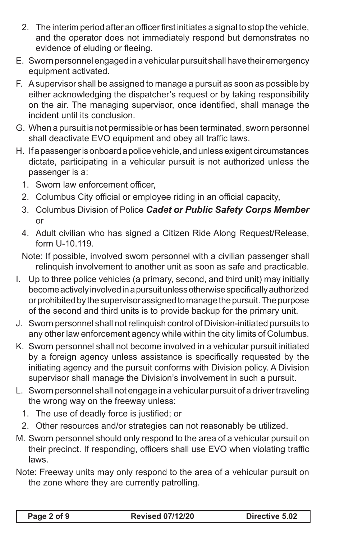- 2. The interim period after an officer first initiates a signal to stop the vehicle, and the operator does not immediately respond but demonstrates no evidence of eluding or fleeing.
- E. Sworn personnel engaged in a vehicular pursuit shall have their emergency equipment activated.
- F. A supervisor shall be assigned to manage a pursuit as soon as possible by either acknowledging the dispatcher's request or by taking responsibility on the air. The managing supervisor, once identified, shall manage the incident until its conclusion.
- G. When a pursuit is not permissible or has been terminated, sworn personnel shall deactivate EVO equipment and obey all traffic laws.
- H. If a passenger is onboard a police vehicle, and unless exigent circumstances dictate, participating in a vehicular pursuit is not authorized unless the passenger is a:
	- 1. Sworn law enforcement officer,
	- 2. Columbus City official or employee riding in an official capacity,
	- 3. Columbus Division of Police *Cadet or Public Safety Corps Member*  or
	- 4. Adult civilian who has signed a Citizen Ride Along Request/Release, form U-10.119.
	- Note: If possible, involved sworn personnel with a civilian passenger shall relinquish involvement to another unit as soon as safe and practicable.
- I. Up to three police vehicles (a primary, second, and third unit) may initially become actively involved in a pursuit unless otherwise specifically authorized or prohibited by the supervisor assigned to manage the pursuit. The purpose of the second and third units is to provide backup for the primary unit.
- J. Sworn personnel shall not relinquish control of Division-initiated pursuits to any other law enforcement agency while within the city limits of Columbus.
- K. Sworn personnel shall not become involved in a vehicular pursuit initiated by a foreign agency unless assistance is specifically requested by the initiating agency and the pursuit conforms with Division policy. A Division supervisor shall manage the Division's involvement in such a pursuit.
- L. Sworn personnel shall not engage in a vehicular pursuit of a driver traveling the wrong way on the freeway unless:
	- 1. The use of deadly force is justified; or
- 2. Other resources and/or strategies can not reasonably be utilized.
- M. Sworn personnel should only respond to the area of a vehicular pursuit on their precinct. If responding, officers shall use EVO when violating traffic laws.
- Note: Freeway units may only respond to the area of a vehicular pursuit on the zone where they are currently patrolling.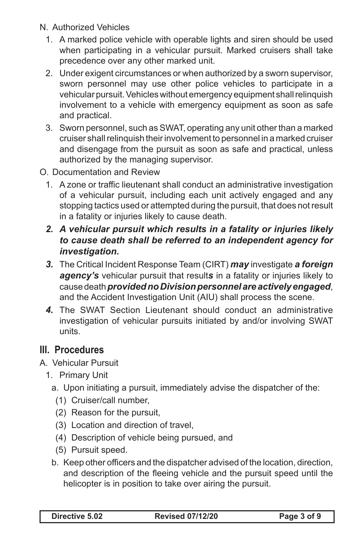- N. Authorized Vehicles
	- 1. A marked police vehicle with operable lights and siren should be used when participating in a vehicular pursuit. Marked cruisers shall take precedence over any other marked unit.
	- 2. Under exigent circumstances or when authorized by a sworn supervisor, sworn personnel may use other police vehicles to participate in a vehicular pursuit. Vehicles without emergency equipment shall relinquish involvement to a vehicle with emergency equipment as soon as safe and practical.
	- 3. Sworn personnel, such as SWAT, operating any unit other than a marked cruiser shall relinquish their involvement to personnel in a marked cruiser and disengage from the pursuit as soon as safe and practical, unless authorized by the managing supervisor.
- O. Documentation and Review
	- 1. A zone or traffic lieutenant shall conduct an administrative investigation of a vehicular pursuit, including each unit actively engaged and any stopping tactics used or attempted during the pursuit, that does not result in a fatality or injuries likely to cause death.
	- *2. A vehicular pursuit which results in a fatality or injuries likely to cause death shall be referred to an independent agency for investigation.*
	- *3.* The Critical Incident Response Team (CIRT) *may* investigate *a foreign agency's* vehicular pursuit that result*s* in a fatality or injuries likely to cause death *provided no Division personnel are actively engaged*, and the Accident Investigation Unit (AIU) shall process the scene.
	- *4.* The SWAT Section Lieutenant should conduct an administrative investigation of vehicular pursuits initiated by and/or involving SWAT units.

## **III. Procedures**

- A. Vehicular Pursuit
	- 1. Primary Unit
		- a. Upon initiating a pursuit, immediately advise the dispatcher of the:
			- (1) Cruiser/call number,
			- (2) Reason for the pursuit,
			- (3) Location and direction of travel,
			- (4) Description of vehicle being pursued, and
			- (5) Pursuit speed.
		- b. Keep other officers and the dispatcher advised of the location, direction, and description of the fleeing vehicle and the pursuit speed until the helicopter is in position to take over airing the pursuit.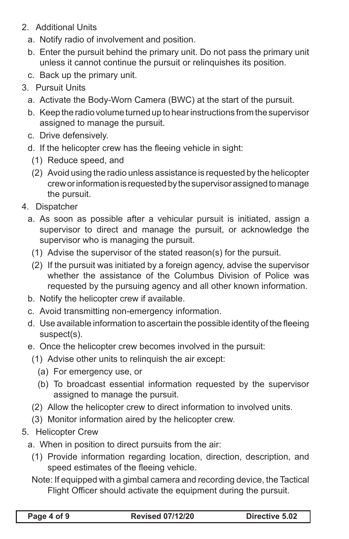- 2. Additional Units
	- a. Notify radio of involvement and position.
	- b. Enter the pursuit behind the primary unit. Do not pass the primary unit unless it cannot continue the pursuit or relinquishes its position.
	- c. Back up the primary unit.
- 3. Pursuit Units
	- a. Activate the Body-Worn Camera (BWC) at the start of the pursuit.
	- b. Keep the radio volume turned up to hear instructions from the supervisor assigned to manage the pursuit.
	- c. Drive defensively.
	- d. If the helicopter crew has the fleeing vehicle in sight:
		- (1) Reduce speed, and
		- (2) Avoid using the radio unless assistance is requested by the helicopter crew or information is requested by the supervisor assigned to manage the pursuit.
- 4. Dispatcher
	- a. As soon as possible after a vehicular pursuit is initiated, assign a supervisor to direct and manage the pursuit, or acknowledge the supervisor who is managing the pursuit.
		- (1) Advise the supervisor of the stated reason(s) for the pursuit.
		- (2) If the pursuit was initiated by a foreign agency, advise the supervisor whether the assistance of the Columbus Division of Police was requested by the pursuing agency and all other known information.
	- b. Notify the helicopter crew if available.
	- c. Avoid transmitting non-emergency information.
	- d. Use available information to ascertain the possible identity of the fleeing suspect(s).
	- e. Once the helicopter crew becomes involved in the pursuit:
	- (1) Advise other units to relinquish the air except:
		- (a) For emergency use, or
		- (b) To broadcast essential information requested by the supervisor assigned to manage the pursuit.
	- (2) Allow the helicopter crew to direct information to involved units.
	- (3) Monitor information aired by the helicopter crew.
- 5. Helicopter Crew
	- a. When in position to direct pursuits from the air:
		- (1) Provide information regarding location, direction, description, and speed estimates of the fleeing vehicle.

Note: If equipped with a gimbal camera and recording device, the Tactical Flight Officer should activate the equipment during the pursuit.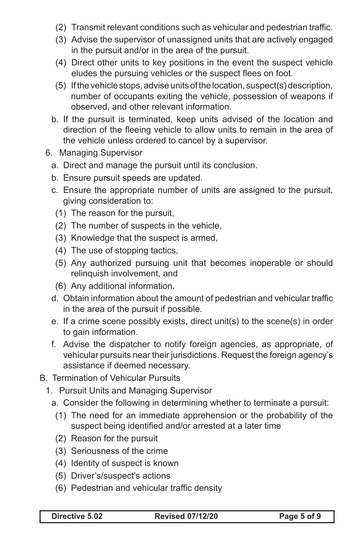- (2) Transmit relevant conditions such as vehicular and pedestrian traffic.
- (3) Advise the supervisor of unassigned units that are actively engaged in the pursuit and/or in the area of the pursuit.
- (4) Direct other units to key positions in the event the suspect vehicle eludes the pursuing vehicles or the suspect flees on foot.
- (5) If the vehicle stops, advise units of the location, suspect(s) description, number of occupants exiting the vehicle, possession of weapons if observed, and other relevant information.
- b. If the pursuit is terminated, keep units advised of the location and direction of the fleeing vehicle to allow units to remain in the area of the vehicle unless ordered to cancel by a supervisor.
- 6. Managing Supervisor
	- a. Direct and manage the pursuit until its conclusion.
	- b. Ensure pursuit speeds are updated.
	- c. Ensure the appropriate number of units are assigned to the pursuit, giving consideration to:
	- (1) The reason for the pursuit,
	- (2) The number of suspects in the vehicle,
	- (3) Knowledge that the suspect is armed,
	- (4) The use of stopping tactics,
	- (5) Any authorized pursuing unit that becomes inoperable or should relinquish involvement, and
	- (6) Any additional information.
	- d. Obtain information about the amount of pedestrian and vehicular traffic in the area of the pursuit if possible.
	- e. If a crime scene possibly exists, direct unit(s) to the scene(s) in order to gain information.
	- f. Advise the dispatcher to notify foreign agencies, as appropriate, of vehicular pursuits near their jurisdictions. Request the foreign agency's assistance if deemed necessary.
- B. Termination of Vehicular Pursuits
	- 1. Pursuit Units and Managing Supervisor

a. Consider the following in determining whether to terminate a pursuit:

- (1) The need for an immediate apprehension or the probability of the suspect being identified and/or arrested at a later time
- (2) Reason for the pursuit
- (3) Seriousness of the crime
- (4) Identity of suspect is known
- (5) Driver's/suspect's actions
- (6) Pedestrian and vehicular traffic density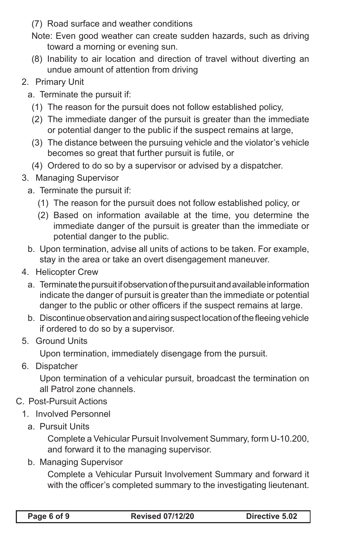- (7) Road surface and weather conditions
- Note: Even good weather can create sudden hazards, such as driving toward a morning or evening sun.
- (8) Inability to air location and direction of travel without diverting an undue amount of attention from driving

#### 2. Primary Unit

- a. Terminate the pursuit if:
	- (1) The reason for the pursuit does not follow established policy,
	- (2) The immediate danger of the pursuit is greater than the immediate or potential danger to the public if the suspect remains at large,
	- (3) The distance between the pursuing vehicle and the violator's vehicle becomes so great that further pursuit is futile, or
	- (4) Ordered to do so by a supervisor or advised by a dispatcher.

#### 3. Managing Supervisor

- a. Terminate the pursuit if:
	- (1) The reason for the pursuit does not follow established policy, or
	- (2) Based on information available at the time, you determine the immediate danger of the pursuit is greater than the immediate or potential danger to the public.
- b. Upon termination, advise all units of actions to be taken. For example, stay in the area or take an overt disengagement maneuver.
- 4. Helicopter Crew
	- a. Terminate the pursuit if observation of the pursuit and available information indicate the danger of pursuit is greater than the immediate or potential danger to the public or other officers if the suspect remains at large.
	- b. Discontinue observation and airing suspect location of the fleeing vehicle if ordered to do so by a supervisor.
- 5. Ground Units

Upon termination, immediately disengage from the pursuit.

6. Dispatcher

Upon termination of a vehicular pursuit, broadcast the termination on all Patrol zone channels.

- C. Post-Pursuit Actions
	- 1. Involved Personnel
		- a. Pursuit Units

Complete a Vehicular Pursuit Involvement Summary, form U-10.200, and forward it to the managing supervisor.

b. Managing Supervisor

Complete a Vehicular Pursuit Involvement Summary and forward it with the officer's completed summary to the investigating lieutenant.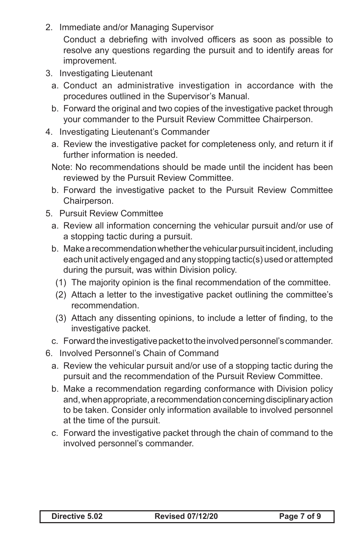2. Immediate and/or Managing Supervisor

Conduct a debriefing with involved officers as soon as possible to resolve any questions regarding the pursuit and to identify areas for improvement.

- 3. Investigating Lieutenant
	- a. Conduct an administrative investigation in accordance with the procedures outlined in the Supervisor's Manual.
	- b. Forward the original and two copies of the investigative packet through your commander to the Pursuit Review Committee Chairperson.
- 4. Investigating Lieutenant's Commander
	- a. Review the investigative packet for completeness only, and return it if further information is needed.
	- Note: No recommendations should be made until the incident has been reviewed by the Pursuit Review Committee.
	- b. Forward the investigative packet to the Pursuit Review Committee Chairperson.
- 5. Pursuit Review Committee
	- a. Review all information concerning the vehicular pursuit and/or use of a stopping tactic during a pursuit.
	- b. Make a recommendation whether the vehicular pursuit incident, including each unit actively engaged and any stopping tactic(s) used or attempted during the pursuit, was within Division policy.
	- (1) The majority opinion is the final recommendation of the committee.
	- (2) Attach a letter to the investigative packet outlining the committee's recommendation.
	- (3) Attach any dissenting opinions, to include a letter of finding, to the investigative packet.
	- c. Forward the investigative packet to the involved personnel's commander.
- 6. Involved Personnel's Chain of Command
	- a. Review the vehicular pursuit and/or use of a stopping tactic during the pursuit and the recommendation of the Pursuit Review Committee.
	- b. Make a recommendation regarding conformance with Division policy and, when appropriate, a recommendation concerning disciplinary action to be taken. Consider only information available to involved personnel at the time of the pursuit.
	- c. Forward the investigative packet through the chain of command to the involved personnel's commander.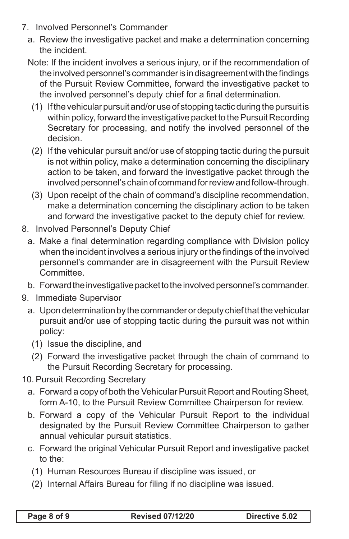- 7. Involved Personnel's Commander
	- a. Review the investigative packet and make a determination concerning the incident.
	- Note: If the incident involves a serious injury, or if the recommendation of the involved personnel's commander is in disagreement with the findings of the Pursuit Review Committee, forward the investigative packet to the involved personnel's deputy chief for a final determination.
		- (1) If the vehicular pursuit and/or use of stopping tactic during the pursuit is within policy, forward the investigative packet to the Pursuit Recording Secretary for processing, and notify the involved personnel of the decision.
		- (2) If the vehicular pursuit and/or use of stopping tactic during the pursuit is not within policy, make a determination concerning the disciplinary action to be taken, and forward the investigative packet through the involved personnel's chain of command for review and follow-through.
		- (3) Upon receipt of the chain of command's discipline recommendation, make a determination concerning the disciplinary action to be taken and forward the investigative packet to the deputy chief for review.
- 8. Involved Personnel's Deputy Chief
	- a. Make a final determination regarding compliance with Division policy when the incident involves a serious injury or the findings of the involved personnel's commander are in disagreement with the Pursuit Review Committee.
	- b. Forward the investigative packet to the involved personnel's commander.
- 9. Immediate Supervisor
	- a. Upon determination by the commander or deputy chief that the vehicular pursuit and/or use of stopping tactic during the pursuit was not within policy:
		- (1) Issue the discipline, and
		- (2) Forward the investigative packet through the chain of command to the Pursuit Recording Secretary for processing.
- 10. Pursuit Recording Secretary
	- a. Forward a copy of both the Vehicular Pursuit Report and Routing Sheet, form A-10, to the Pursuit Review Committee Chairperson for review.
	- b. Forward a copy of the Vehicular Pursuit Report to the individual designated by the Pursuit Review Committee Chairperson to gather annual vehicular pursuit statistics.
	- c. Forward the original Vehicular Pursuit Report and investigative packet to the:
		- (1) Human Resources Bureau if discipline was issued, or
		- (2) Internal Affairs Bureau for filing if no discipline was issued.